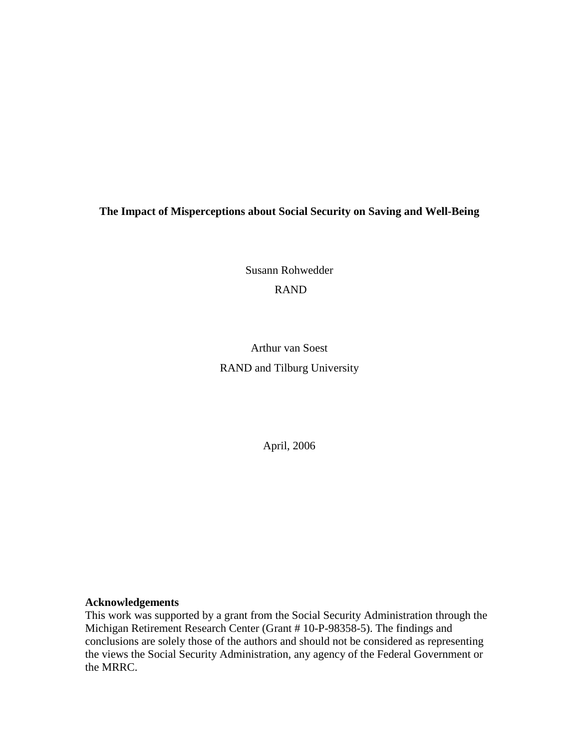# **The Impact of Misperceptions about Social Security on Saving and Well-Being**

Susann Rohwedder RAND

Arthur van Soest RAND and Tilburg University

April, 2006

## **Acknowledgements**

This work was supported by a grant from the Social Security Administration through the Michigan Retirement Research Center (Grant # 10-P-98358-5). The findings and conclusions are solely those of the authors and should not be considered as representing the views the Social Security Administration, any agency of the Federal Government or the MRRC.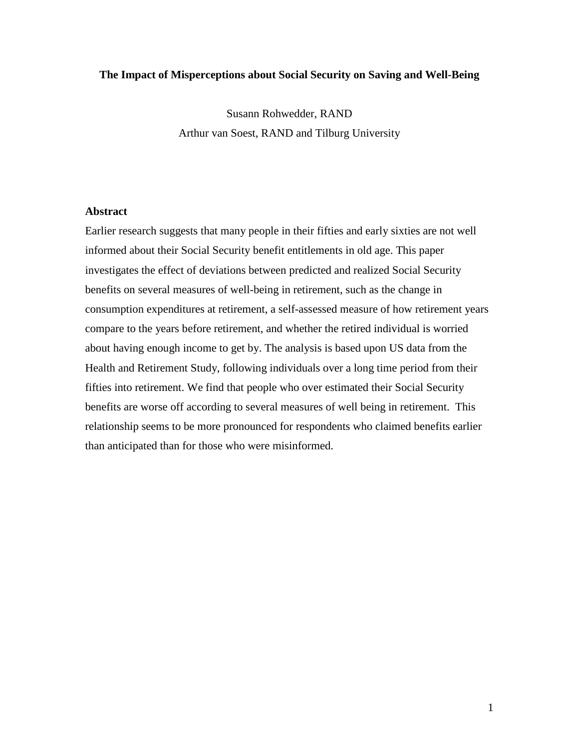## **The Impact of Misperceptions about Social Security on Saving and Well-Being**

Susann Rohwedder, RAND Arthur van Soest, RAND and Tilburg University

#### **Abstract**

Earlier research suggests that many people in their fifties and early sixties are not well informed about their Social Security benefit entitlements in old age. This paper investigates the effect of deviations between predicted and realized Social Security benefits on several measures of well-being in retirement, such as the change in consumption expenditures at retirement, a self-assessed measure of how retirement years compare to the years before retirement, and whether the retired individual is worried about having enough income to get by. The analysis is based upon US data from the Health and Retirement Study, following individuals over a long time period from their fifties into retirement. We find that people who over estimated their Social Security benefits are worse off according to several measures of well being in retirement. This relationship seems to be more pronounced for respondents who claimed benefits earlier than anticipated than for those who were misinformed.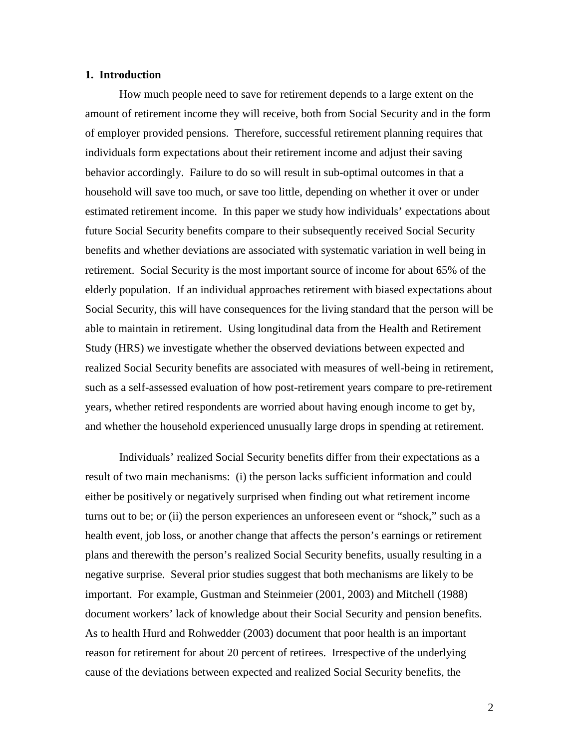## **1. Introduction**

How much people need to save for retirement depends to a large extent on the amount of retirement income they will receive, both from Social Security and in the form of employer provided pensions. Therefore, successful retirement planning requires that individuals form expectations about their retirement income and adjust their saving behavior accordingly. Failure to do so will result in sub-optimal outcomes in that a household will save too much, or save too little, depending on whether it over or under estimated retirement income. In this paper we study how individuals' expectations about future Social Security benefits compare to their subsequently received Social Security benefits and whether deviations are associated with systematic variation in well being in retirement. Social Security is the most important source of income for about 65% of the elderly population. If an individual approaches retirement with biased expectations about Social Security, this will have consequences for the living standard that the person will be able to maintain in retirement. Using longitudinal data from the Health and Retirement Study (HRS) we investigate whether the observed deviations between expected and realized Social Security benefits are associated with measures of well-being in retirement, such as a self-assessed evaluation of how post-retirement years compare to pre-retirement years, whether retired respondents are worried about having enough income to get by, and whether the household experienced unusually large drops in spending at retirement.

Individuals' realized Social Security benefits differ from their expectations as a result of two main mechanisms: (i) the person lacks sufficient information and could either be positively or negatively surprised when finding out what retirement income turns out to be; or (ii) the person experiences an unforeseen event or "shock," such as a health event, job loss, or another change that affects the person's earnings or retirement plans and therewith the person's realized Social Security benefits, usually resulting in a negative surprise. Several prior studies suggest that both mechanisms are likely to be important. For example, Gustman and Steinmeier (2001, 2003) and Mitchell (1988) document workers' lack of knowledge about their Social Security and pension benefits. As to health Hurd and Rohwedder (2003) document that poor health is an important reason for retirement for about 20 percent of retirees. Irrespective of the underlying cause of the deviations between expected and realized Social Security benefits, the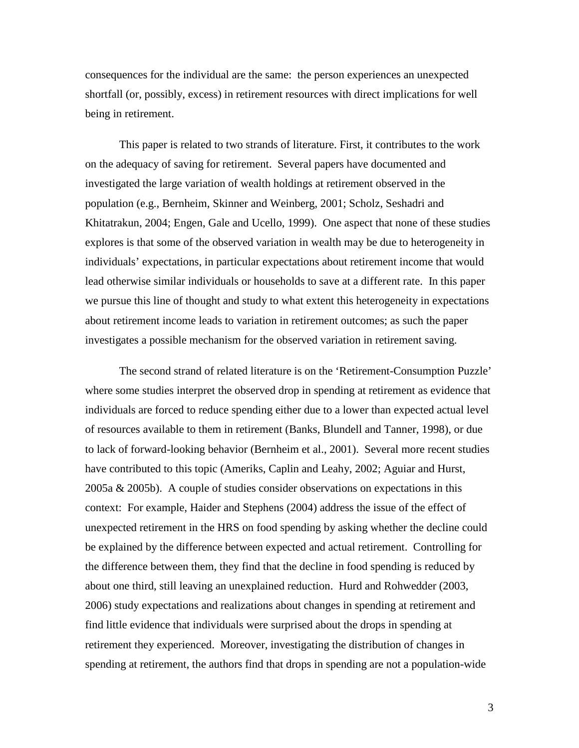consequences for the individual are the same: the person experiences an unexpected shortfall (or, possibly, excess) in retirement resources with direct implications for well being in retirement.

This paper is related to two strands of literature. First, it contributes to the work on the adequacy of saving for retirement. Several papers have documented and investigated the large variation of wealth holdings at retirement observed in the population (e.g., Bernheim, Skinner and Weinberg, 2001; Scholz, Seshadri and Khitatrakun, 2004; Engen, Gale and Ucello, 1999). One aspect that none of these studies explores is that some of the observed variation in wealth may be due to heterogeneity in individuals' expectations, in particular expectations about retirement income that would lead otherwise similar individuals or households to save at a different rate. In this paper we pursue this line of thought and study to what extent this heterogeneity in expectations about retirement income leads to variation in retirement outcomes; as such the paper investigates a possible mechanism for the observed variation in retirement saving.

The second strand of related literature is on the 'Retirement-Consumption Puzzle' where some studies interpret the observed drop in spending at retirement as evidence that individuals are forced to reduce spending either due to a lower than expected actual level of resources available to them in retirement (Banks, Blundell and Tanner, 1998), or due to lack of forward-looking behavior (Bernheim et al., 2001). Several more recent studies have contributed to this topic (Ameriks, Caplin and Leahy, 2002; Aguiar and Hurst, 2005a & 2005b). A couple of studies consider observations on expectations in this context: For example, Haider and Stephens (2004) address the issue of the effect of unexpected retirement in the HRS on food spending by asking whether the decline could be explained by the difference between expected and actual retirement. Controlling for the difference between them, they find that the decline in food spending is reduced by about one third, still leaving an unexplained reduction. Hurd and Rohwedder (2003, 2006) study expectations and realizations about changes in spending at retirement and find little evidence that individuals were surprised about the drops in spending at retirement they experienced. Moreover, investigating the distribution of changes in spending at retirement, the authors find that drops in spending are not a population-wide

3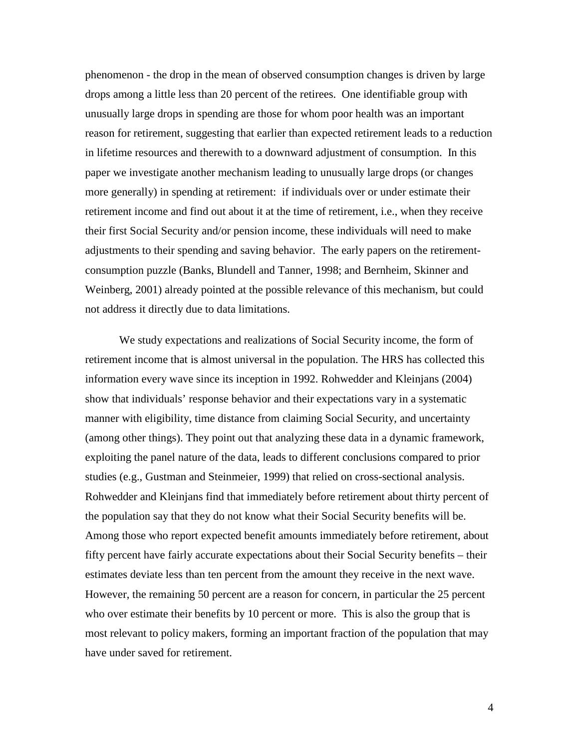phenomenon - the drop in the mean of observed consumption changes is driven by large drops among a little less than 20 percent of the retirees. One identifiable group with unusually large drops in spending are those for whom poor health was an important reason for retirement, suggesting that earlier than expected retirement leads to a reduction in lifetime resources and therewith to a downward adjustment of consumption. In this paper we investigate another mechanism leading to unusually large drops (or changes more generally) in spending at retirement: if individuals over or under estimate their retirement income and find out about it at the time of retirement, i.e., when they receive their first Social Security and/or pension income, these individuals will need to make adjustments to their spending and saving behavior. The early papers on the retirementconsumption puzzle (Banks, Blundell and Tanner, 1998; and Bernheim, Skinner and Weinberg, 2001) already pointed at the possible relevance of this mechanism, but could not address it directly due to data limitations.

We study expectations and realizations of Social Security income, the form of retirement income that is almost universal in the population. The HRS has collected this information every wave since its inception in 1992. Rohwedder and Kleinjans (2004) show that individuals' response behavior and their expectations vary in a systematic manner with eligibility, time distance from claiming Social Security, and uncertainty (among other things). They point out that analyzing these data in a dynamic framework, exploiting the panel nature of the data, leads to different conclusions compared to prior studies (e.g., Gustman and Steinmeier, 1999) that relied on cross-sectional analysis. Rohwedder and Kleinjans find that immediately before retirement about thirty percent of the population say that they do not know what their Social Security benefits will be. Among those who report expected benefit amounts immediately before retirement, about fifty percent have fairly accurate expectations about their Social Security benefits – their estimates deviate less than ten percent from the amount they receive in the next wave. However, the remaining 50 percent are a reason for concern, in particular the 25 percent who over estimate their benefits by 10 percent or more. This is also the group that is most relevant to policy makers, forming an important fraction of the population that may have under saved for retirement.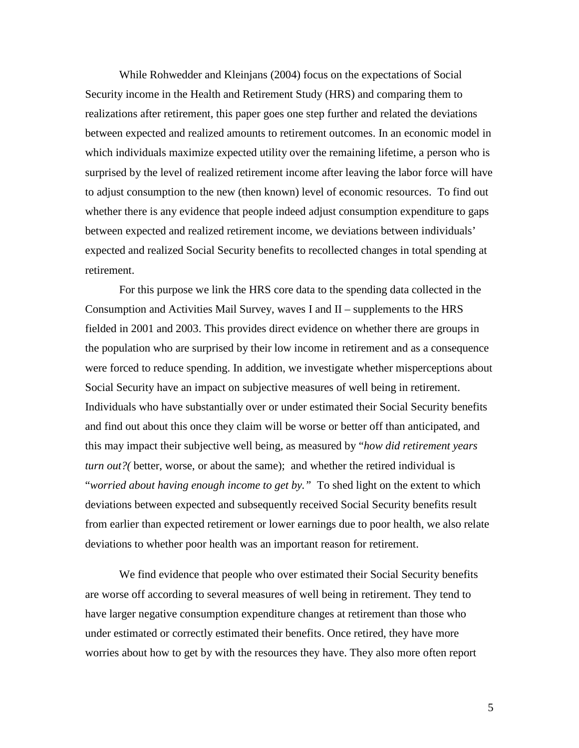While Rohwedder and Kleinjans (2004) focus on the expectations of Social Security income in the Health and Retirement Study (HRS) and comparing them to realizations after retirement, this paper goes one step further and related the deviations between expected and realized amounts to retirement outcomes. In an economic model in which individuals maximize expected utility over the remaining lifetime, a person who is surprised by the level of realized retirement income after leaving the labor force will have to adjust consumption to the new (then known) level of economic resources. To find out whether there is any evidence that people indeed adjust consumption expenditure to gaps between expected and realized retirement income, we deviations between individuals' expected and realized Social Security benefits to recollected changes in total spending at retirement.

For this purpose we link the HRS core data to the spending data collected in the Consumption and Activities Mail Survey, waves I and II – supplements to the HRS fielded in 2001 and 2003. This provides direct evidence on whether there are groups in the population who are surprised by their low income in retirement and as a consequence were forced to reduce spending. In addition, we investigate whether misperceptions about Social Security have an impact on subjective measures of well being in retirement. Individuals who have substantially over or under estimated their Social Security benefits and find out about this once they claim will be worse or better off than anticipated, and this may impact their subjective well being, as measured by "*how did retirement years turn out?(* better, worse, or about the same); and whether the retired individual is "*worried about having enough income to get by."* To shed light on the extent to which deviations between expected and subsequently received Social Security benefits result from earlier than expected retirement or lower earnings due to poor health, we also relate deviations to whether poor health was an important reason for retirement.

We find evidence that people who over estimated their Social Security benefits are worse off according to several measures of well being in retirement. They tend to have larger negative consumption expenditure changes at retirement than those who under estimated or correctly estimated their benefits. Once retired, they have more worries about how to get by with the resources they have. They also more often report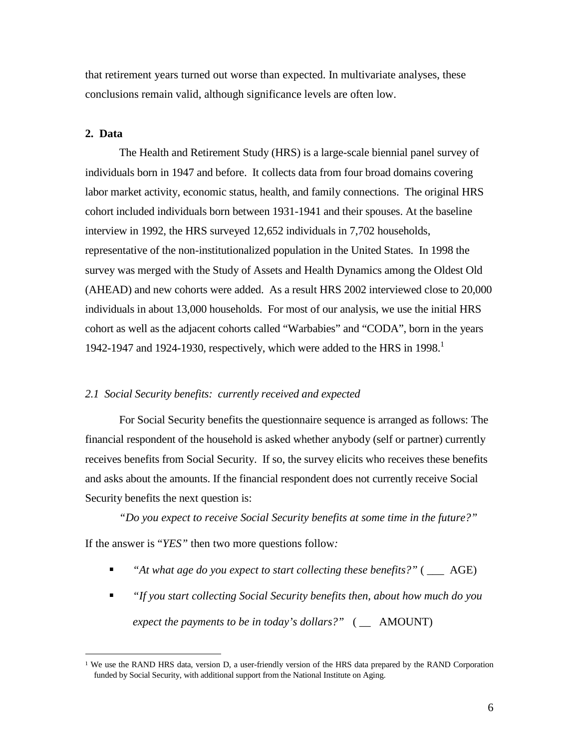that retirement years turned out worse than expected. In multivariate analyses, these conclusions remain valid, although significance levels are often low.

#### **2. Data**

 $\overline{a}$ 

The Health and Retirement Study (HRS) is a large-scale biennial panel survey of individuals born in 1947 and before. It collects data from four broad domains covering labor market activity, economic status, health, and family connections. The original HRS cohort included individuals born between 1931-1941 and their spouses. At the baseline interview in 1992, the HRS surveyed 12,652 individuals in 7,702 households, representative of the non-institutionalized population in the United States. In 1998 the survey was merged with the Study of Assets and Health Dynamics among the Oldest Old (AHEAD) and new cohorts were added. As a result HRS 2002 interviewed close to 20,000 individuals in about 13,000 households. For most of our analysis, we use the initial HRS cohort as well as the adjacent cohorts called "Warbabies" and "CODA", born in the years 1942-1947 and 1924-1930, respectively, which were added to the HRS in 1998.<sup>1</sup>

#### *2.1 Social Security benefits: currently received and expected*

For Social Security benefits the questionnaire sequence is arranged as follows: The financial respondent of the household is asked whether anybody (self or partner) currently receives benefits from Social Security. If so, the survey elicits who receives these benefits and asks about the amounts. If the financial respondent does not currently receive Social Security benefits the next question is:

*"Do you expect to receive Social Security benefits at some time in the future?"* If the answer is "*YES"* then two more questions follow*:*

- *"At what age do you expect to start collecting these benefits?"* ( \_\_\_ AGE)
- *"If you start collecting Social Security benefits then, about how much do you expect the payments to be in today's dollars?"* ( \_\_ AMOUNT)

<sup>&</sup>lt;sup>1</sup> We use the RAND HRS data, version D, a user-friendly version of the HRS data prepared by the RAND Corporation funded by Social Security, with additional support from the National Institute on Aging.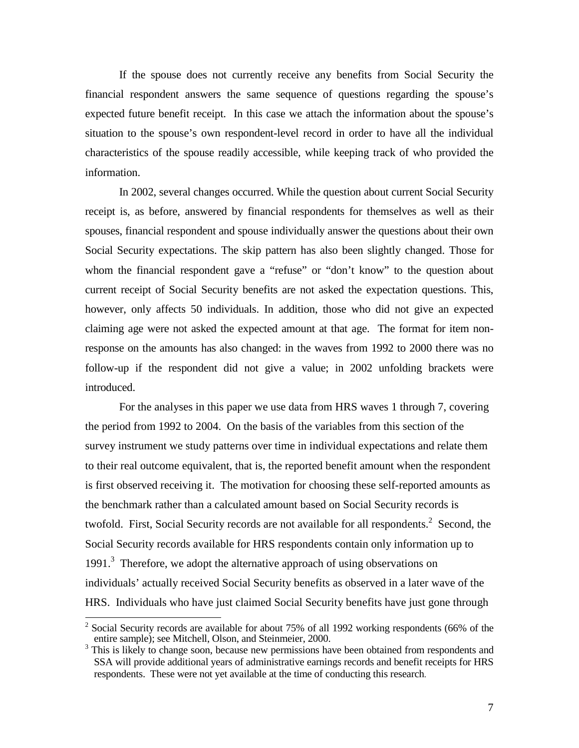If the spouse does not currently receive any benefits from Social Security the financial respondent answers the same sequence of questions regarding the spouse's expected future benefit receipt. In this case we attach the information about the spouse's situation to the spouse's own respondent-level record in order to have all the individual characteristics of the spouse readily accessible, while keeping track of who provided the information.

In 2002, several changes occurred. While the question about current Social Security receipt is, as before, answered by financial respondents for themselves as well as their spouses, financial respondent and spouse individually answer the questions about their own Social Security expectations. The skip pattern has also been slightly changed. Those for whom the financial respondent gave a "refuse" or "don't know" to the question about current receipt of Social Security benefits are not asked the expectation questions. This, however, only affects 50 individuals. In addition, those who did not give an expected claiming age were not asked the expected amount at that age. The format for item nonresponse on the amounts has also changed: in the waves from 1992 to 2000 there was no follow-up if the respondent did not give a value; in 2002 unfolding brackets were introduced.

For the analyses in this paper we use data from HRS waves 1 through 7, covering the period from 1992 to 2004. On the basis of the variables from this section of the survey instrument we study patterns over time in individual expectations and relate them to their real outcome equivalent, that is, the reported benefit amount when the respondent is first observed receiving it. The motivation for choosing these self-reported amounts as the benchmark rather than a calculated amount based on Social Security records is twofold. First, Social Security records are not available for all respondents.<sup>2</sup> Second, the Social Security records available for HRS respondents contain only information up to 1991.<sup>3</sup> Therefore, we adopt the alternative approach of using observations on individuals' actually received Social Security benefits as observed in a later wave of the HRS. Individuals who have just claimed Social Security benefits have just gone through

 $\overline{\phantom{a}}$ 

<sup>2</sup> Social Security records are available for about 75% of all 1992 working respondents (66% of the entire sample); see Mitchell, Olson, and Steinmeier, 2000.

This is likely to change soon, because new permissions have been obtained from respondents and SSA will provide additional years of administrative earnings records and benefit receipts for HRS respondents. These were not yet available at the time of conducting this research.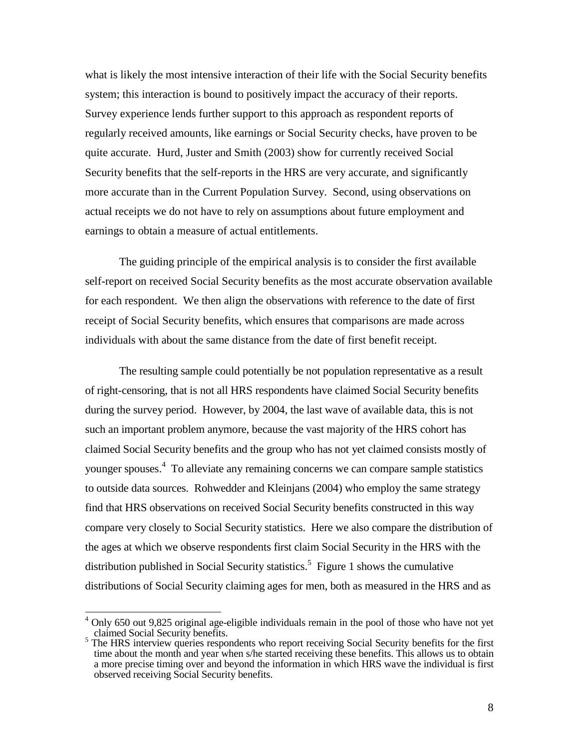what is likely the most intensive interaction of their life with the Social Security benefits system; this interaction is bound to positively impact the accuracy of their reports. Survey experience lends further support to this approach as respondent reports of regularly received amounts, like earnings or Social Security checks, have proven to be quite accurate. Hurd, Juster and Smith (2003) show for currently received Social Security benefits that the self-reports in the HRS are very accurate, and significantly more accurate than in the Current Population Survey. Second, using observations on actual receipts we do not have to rely on assumptions about future employment and earnings to obtain a measure of actual entitlements.

The guiding principle of the empirical analysis is to consider the first available self-report on received Social Security benefits as the most accurate observation available for each respondent. We then align the observations with reference to the date of first receipt of Social Security benefits, which ensures that comparisons are made across individuals with about the same distance from the date of first benefit receipt.

The resulting sample could potentially be not population representative as a result of right-censoring, that is not all HRS respondents have claimed Social Security benefits during the survey period. However, by 2004, the last wave of available data, this is not such an important problem anymore, because the vast majority of the HRS cohort has claimed Social Security benefits and the group who has not yet claimed consists mostly of younger spouses. 4 To alleviate any remaining concerns we can compare sample statistics to outside data sources. Rohwedder and Kleinjans (2004) who employ the same strategy find that HRS observations on received Social Security benefits constructed in this way compare very closely to Social Security statistics. Here we also compare the distribution of the ages at which we observe respondents first claim Social Security in the HRS with the distribution published in Social Security statistics. 5 Figure 1 shows the cumulative distributions of Social Security claiming ages for men, both as measured in the HRS and as

 $\overline{\phantom{a}}$ 

<sup>4</sup> Only 650 out 9,825 original age-eligible individuals remain in the pool of those who have not yet claimed Social Security benefits.

<sup>5</sup> The HRS interview queries respondents who report receiving Social Security benefits for the first time about the month and year when s/he started receiving these benefits. This allows us to obtain a more precise timing over and beyond the information in which HRS wave the individual is first observed receiving Social Security benefits.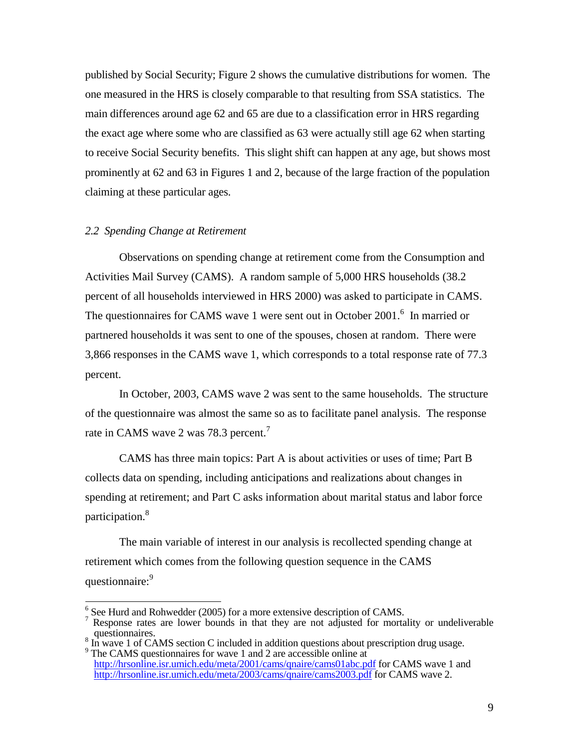published by Social Security; Figure 2 shows the cumulative distributions for women. The one measured in the HRS is closely comparable to that resulting from SSA statistics. The main differences around age 62 and 65 are due to a classification error in HRS regarding the exact age where some who are classified as 63 were actually still age 62 when starting to receive Social Security benefits. This slight shift can happen at any age, but shows most prominently at 62 and 63 in Figures 1 and 2, because of the large fraction of the population claiming at these particular ages.

## *2.2 Spending Change at Retirement*

 $\overline{a}$ 

Observations on spending change at retirement come from the Consumption and Activities Mail Survey (CAMS). A random sample of 5,000 HRS households (38.2 percent of all households interviewed in HRS 2000) was asked to participate in CAMS. The questionnaires for CAMS wave 1 were sent out in October 2001.<sup>6</sup> In married or partnered households it was sent to one of the spouses, chosen at random. There were 3,866 responses in the CAMS wave 1, which corresponds to a total response rate of 77.3 percent.

In October, 2003, CAMS wave 2 was sent to the same households. The structure of the questionnaire was almost the same so as to facilitate panel analysis. The response rate in CAMS wave 2 was 78.3 percent.<sup>7</sup>

CAMS has three main topics: Part A is about activities or uses of time; Part B collects data on spending, including anticipations and realizations about changes in spending at retirement; and Part C asks information about marital status and labor force participation.<sup>8</sup>

The main variable of interest in our analysis is recollected spending change at retirement which comes from the following question sequence in the CAMS questionnaire:<sup>9</sup>

 $\frac{6}{5}$  See Hurd and Rohwedder (2005) for a more extensive description of CAMS.

Response rates are lower bounds in that they are not adjusted for mortality or undeliverable questionnaires.<br><sup>8</sup> In wave 1 of CAMS section C included in addition questions about prescription drug usage.

<sup>&</sup>lt;sup>9</sup> The CAMS questionnaires for wave 1 and 2 are accessible online at

http://hrsonline.isr.umich.edu/meta/2001/cams/qnaire/cams01abc.pdf for CAMS wave 1 and http://hrsonline.isr.umich.edu/meta/2003/cams/qnaire/cams2003.pdf for CAMS wave 2.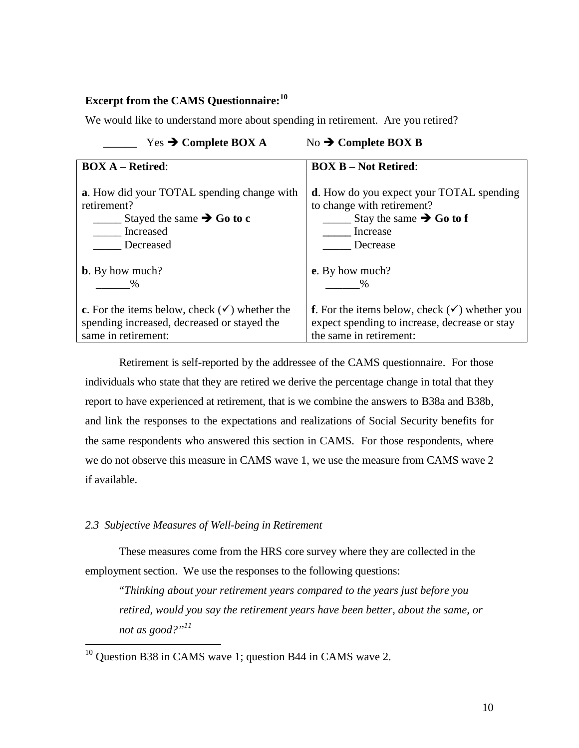# **Excerpt from the CAMS Questionnaire: 10**

We would like to understand more about spending in retirement. Are you retired?

| Yes $\rightarrow$ Complete BOX A                         | No $\rightarrow$ Complete BOX B                                  |
|----------------------------------------------------------|------------------------------------------------------------------|
| <b>BOX A – Retired:</b>                                  | <b>BOX B – Not Retired:</b>                                      |
| a. How did your TOTAL spending change with               | <b>d</b> . How do you expect your TOTAL spending                 |
| retirement?                                              | to change with retirement?                                       |
| Stayed the same $\rightarrow$ Go to c                    | Stay the same $\rightarrow$ Go to f                              |
| Increased                                                | Increase                                                         |
| Decreased                                                | Decrease                                                         |
| <b>b</b> . By how much?                                  | e. By how much?                                                  |
| $\%$                                                     | $\%$                                                             |
| c. For the items below, check $(\checkmark)$ whether the | <b>f</b> . For the items below, check $(\checkmark)$ whether you |
| spending increased, decreased or stayed the              | expect spending to increase, decrease or stay                    |
| same in retirement:                                      | the same in retirement:                                          |

Retirement is self-reported by the addressee of the CAMS questionnaire. For those individuals who state that they are retired we derive the percentage change in total that they report to have experienced at retirement, that is we combine the answers to B38a and B38b, and link the responses to the expectations and realizations of Social Security benefits for the same respondents who answered this section in CAMS. For those respondents, where we do not observe this measure in CAMS wave 1, we use the measure from CAMS wave 2 if available.

## *2.3 Subjective Measures of Well-being in Retirement*

 $\overline{a}$ 

These measures come from the HRS core survey where they are collected in the employment section. We use the responses to the following questions:

"*Thinking about your retirement years compared to the years just before you retired, would you say the retirement years have been better, about the same, or not as good?" 11*

 $10$  Question B38 in CAMS wave 1; question B44 in CAMS wave 2.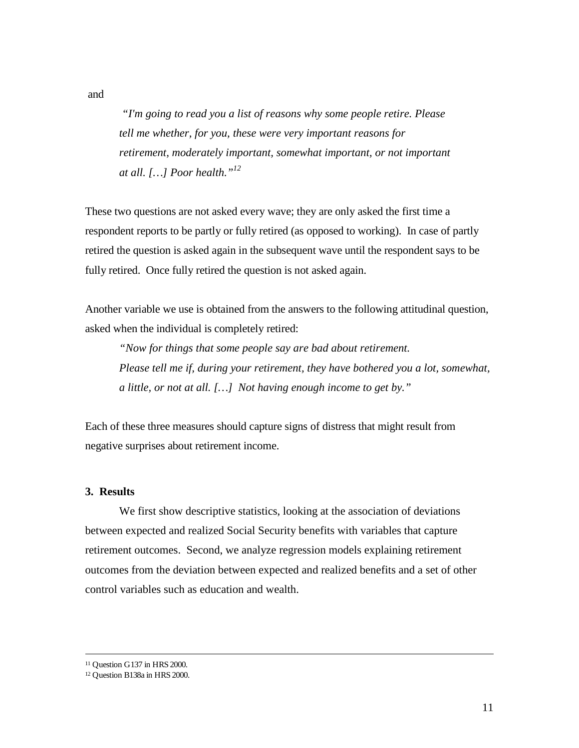*"I'm going to read you a list of reasons why some people retire. Please tell me whether, for you, these were very important reasons for retirement, moderately important, somewhat important, or not important at all. […] Poor health." 12*

These two questions are not asked every wave; they are only asked the first time a respondent reports to be partly or fully retired (as opposed to working). In case of partly retired the question is asked again in the subsequent wave until the respondent says to be fully retired. Once fully retired the question is not asked again.

Another variable we use is obtained from the answers to the following attitudinal question, asked when the individual is completely retired:

*"Now for things that some people say are bad about retirement. Please tell me if, during your retirement, they have bothered you a lot, somewhat, a little, or not at all. […] Not having enough income to get by."*

Each of these three measures should capture signs of distress that might result from negative surprises about retirement income.

#### **3. Results**

We first show descriptive statistics, looking at the association of deviations between expected and realized Social Security benefits with variables that capture retirement outcomes. Second, we analyze regression models explaining retirement outcomes from the deviation between expected and realized benefits and a set of other control variables such as education and wealth.

 $\overline{a}$ 

and

<sup>11</sup> Question G137 in HRS 2000.

<sup>12</sup> Question B138a in HRS 2000.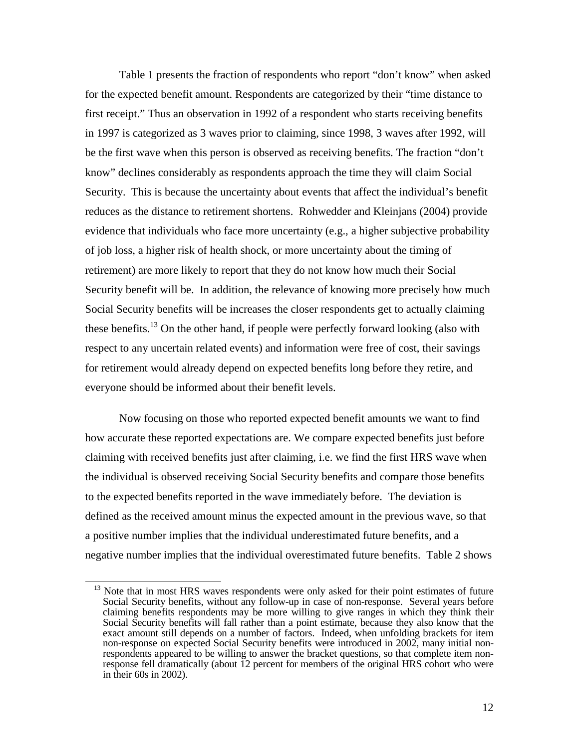Table 1 presents the fraction of respondents who report "don't know" when asked for the expected benefit amount. Respondents are categorized by their "time distance to first receipt." Thus an observation in 1992 of a respondent who starts receiving benefits in 1997 is categorized as 3 waves prior to claiming, since 1998, 3 waves after 1992, will be the first wave when this person is observed as receiving benefits. The fraction "don't know" declines considerably as respondents approach the time they will claim Social Security. This is because the uncertainty about events that affect the individual's benefit reduces as the distance to retirement shortens. Rohwedder and Kleinjans (2004) provide evidence that individuals who face more uncertainty (e.g., a higher subjective probability of job loss, a higher risk of health shock, or more uncertainty about the timing of retirement) are more likely to report that they do not know how much their Social Security benefit will be. In addition, the relevance of knowing more precisely how much Social Security benefits will be increases the closer respondents get to actually claiming these benefits.<sup>13</sup> On the other hand, if people were perfectly forward looking (also with respect to any uncertain related events) and information were free of cost, their savings for retirement would already depend on expected benefits long before they retire, and everyone should be informed about their benefit levels.

Now focusing on those who reported expected benefit amounts we want to find how accurate these reported expectations are. We compare expected benefits just before claiming with received benefits just after claiming, i.e. we find the first HRS wave when the individual is observed receiving Social Security benefits and compare those benefits to the expected benefits reported in the wave immediately before. The deviation is defined as the received amount minus the expected amount in the previous wave, so that a positive number implies that the individual underestimated future benefits, and a negative number implies that the individual overestimated future benefits. Table 2 shows

 $\overline{a}$ 

<sup>&</sup>lt;sup>13</sup> Note that in most HRS waves respondents were only asked for their point estimates of future Social Security benefits, without any follow-up in case of non-response. Several years before claiming benefits respondents may be more willing to give ranges in which they think their Social Security benefits will fall rather than a point estimate, because they also know that the exact amount still depends on a number of factors. Indeed, when unfolding brackets for item non-response on expected Social Security benefits were introduced in 2002, many initial nonrespondents appeared to be willing to answer the bracket questions, so that complete item nonresponse fell dramatically (about 12 percent for members of the original HRS cohort who were in their 60s in 2002).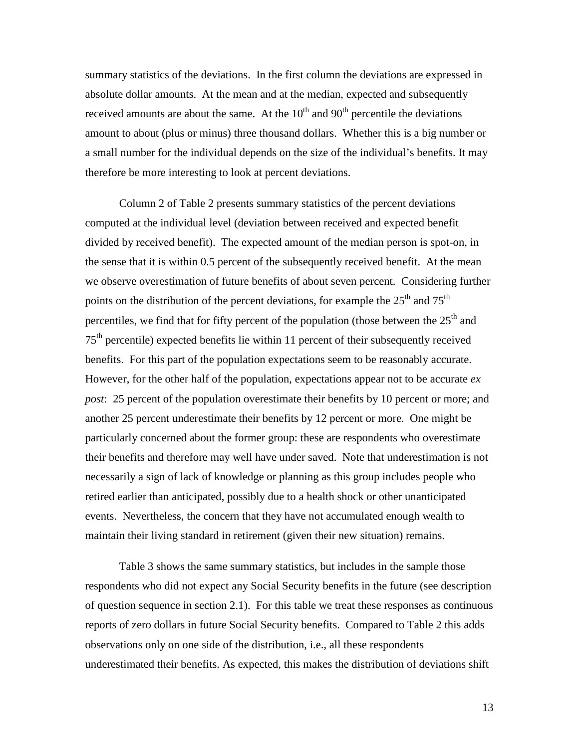summary statistics of the deviations. In the first column the deviations are expressed in absolute dollar amounts. At the mean and at the median, expected and subsequently received amounts are about the same. At the  $10<sup>th</sup>$  and  $90<sup>th</sup>$  percentile the deviations amount to about (plus or minus) three thousand dollars. Whether this is a big number or a small number for the individual depends on the size of the individual's benefits. It may therefore be more interesting to look at percent deviations.

Column 2 of Table 2 presents summary statistics of the percent deviations computed at the individual level (deviation between received and expected benefit divided by received benefit). The expected amount of the median person is spot-on, in the sense that it is within 0.5 percent of the subsequently received benefit. At the mean we observe overestimation of future benefits of about seven percent. Considering further points on the distribution of the percent deviations, for example the  $25<sup>th</sup>$  and  $75<sup>th</sup>$ percentiles, we find that for fifty percent of the population (those between the  $25<sup>th</sup>$  and 75<sup>th</sup> percentile) expected benefits lie within 11 percent of their subsequently received benefits. For this part of the population expectations seem to be reasonably accurate. However, for the other half of the population, expectations appear not to be accurate *ex post*: 25 percent of the population overestimate their benefits by 10 percent or more; and another 25 percent underestimate their benefits by 12 percent or more. One might be particularly concerned about the former group: these are respondents who overestimate their benefits and therefore may well have under saved. Note that underestimation is not necessarily a sign of lack of knowledge or planning as this group includes people who retired earlier than anticipated, possibly due to a health shock or other unanticipated events. Nevertheless, the concern that they have not accumulated enough wealth to maintain their living standard in retirement (given their new situation) remains.

Table 3 shows the same summary statistics, but includes in the sample those respondents who did not expect any Social Security benefits in the future (see description of question sequence in section 2.1). For this table we treat these responses as continuous reports of zero dollars in future Social Security benefits. Compared to Table 2 this adds observations only on one side of the distribution, i.e., all these respondents underestimated their benefits. As expected, this makes the distribution of deviations shift

13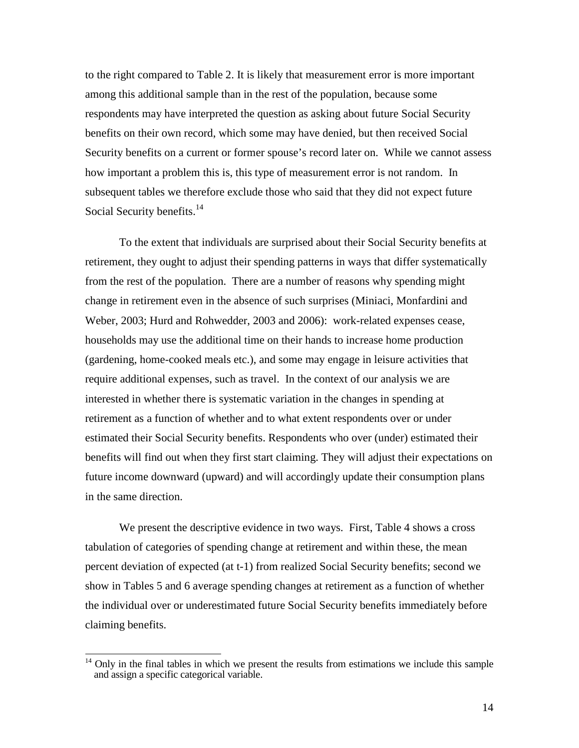to the right compared to Table 2. It is likely that measurement error is more important among this additional sample than in the rest of the population, because some respondents may have interpreted the question as asking about future Social Security benefits on their own record, which some may have denied, but then received Social Security benefits on a current or former spouse's record later on. While we cannot assess how important a problem this is, this type of measurement error is not random. In subsequent tables we therefore exclude those who said that they did not expect future Social Security benefits.<sup>14</sup>

To the extent that individuals are surprised about their Social Security benefits at retirement, they ought to adjust their spending patterns in ways that differ systematically from the rest of the population. There are a number of reasons why spending might change in retirement even in the absence of such surprises (Miniaci, Monfardini and Weber, 2003; Hurd and Rohwedder, 2003 and 2006): work-related expenses cease, households may use the additional time on their hands to increase home production (gardening, home-cooked meals etc.), and some may engage in leisure activities that require additional expenses, such as travel. In the context of our analysis we are interested in whether there is systematic variation in the changes in spending at retirement as a function of whether and to what extent respondents over or under estimated their Social Security benefits. Respondents who over (under) estimated their benefits will find out when they first start claiming. They will adjust their expectations on future income downward (upward) and will accordingly update their consumption plans in the same direction.

We present the descriptive evidence in two ways. First, Table 4 shows a cross tabulation of categories of spending change at retirement and within these, the mean percent deviation of expected (at t-1) from realized Social Security benefits; second we show in Tables 5 and 6 average spending changes at retirement as a function of whether the individual over or underestimated future Social Security benefits immediately before claiming benefits.

 $\overline{1}$ 

 $14$  Only in the final tables in which we present the results from estimations we include this sample and assign a specific categorical variable.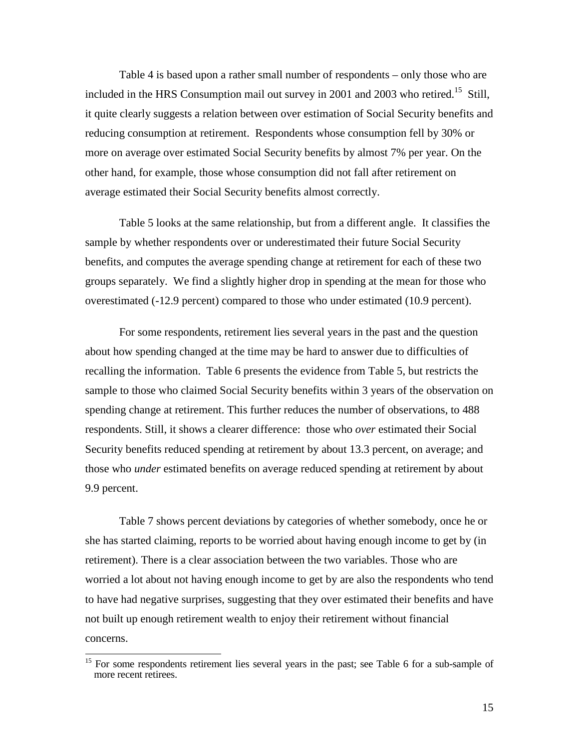Table 4 is based upon a rather small number of respondents – only those who are included in the HRS Consumption mail out survey in 2001 and 2003 who retired.<sup>15</sup> Still, it quite clearly suggests a relation between over estimation of Social Security benefits and reducing consumption at retirement. Respondents whose consumption fell by 30% or more on average over estimated Social Security benefits by almost 7% per year. On the other hand, for example, those whose consumption did not fall after retirement on average estimated their Social Security benefits almost correctly.

Table 5 looks at the same relationship, but from a different angle. It classifies the sample by whether respondents over or underestimated their future Social Security benefits, and computes the average spending change at retirement for each of these two groups separately. We find a slightly higher drop in spending at the mean for those who overestimated (-12.9 percent) compared to those who under estimated (10.9 percent).

For some respondents, retirement lies several years in the past and the question about how spending changed at the time may be hard to answer due to difficulties of recalling the information. Table 6 presents the evidence from Table 5, but restricts the sample to those who claimed Social Security benefits within 3 years of the observation on spending change at retirement. This further reduces the number of observations, to 488 respondents. Still, it shows a clearer difference: those who *over* estimated their Social Security benefits reduced spending at retirement by about 13.3 percent, on average; and those who *under* estimated benefits on average reduced spending at retirement by about 9.9 percent.

Table 7 shows percent deviations by categories of whether somebody, once he or she has started claiming, reports to be worried about having enough income to get by (in retirement). There is a clear association between the two variables. Those who are worried a lot about not having enough income to get by are also the respondents who tend to have had negative surprises, suggesting that they over estimated their benefits and have not built up enough retirement wealth to enjoy their retirement without financial concerns.

<sup>&</sup>lt;sup>15</sup> For some respondents retirement lies several years in the past; see Table 6 for a sub-sample of more recent retirees.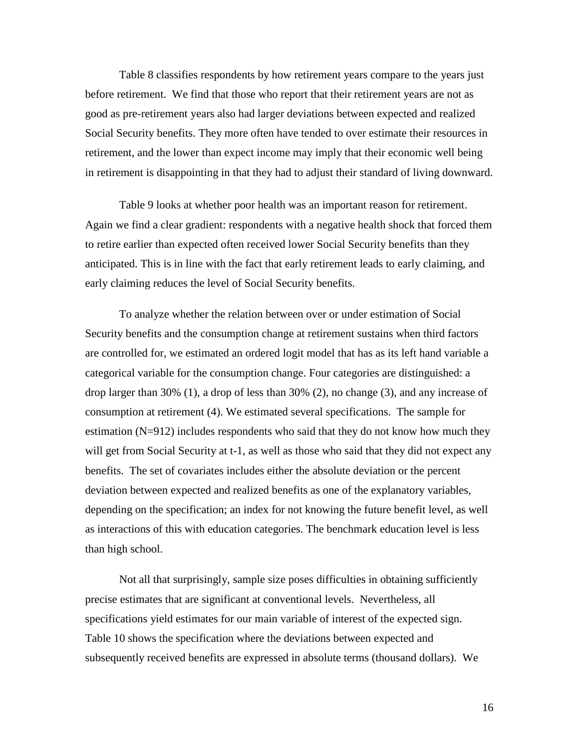Table 8 classifies respondents by how retirement years compare to the years just before retirement. We find that those who report that their retirement years are not as good as pre-retirement years also had larger deviations between expected and realized Social Security benefits. They more often have tended to over estimate their resources in retirement, and the lower than expect income may imply that their economic well being in retirement is disappointing in that they had to adjust their standard of living downward.

Table 9 looks at whether poor health was an important reason for retirement. Again we find a clear gradient: respondents with a negative health shock that forced them to retire earlier than expected often received lower Social Security benefits than they anticipated. This is in line with the fact that early retirement leads to early claiming, and early claiming reduces the level of Social Security benefits.

To analyze whether the relation between over or under estimation of Social Security benefits and the consumption change at retirement sustains when third factors are controlled for, we estimated an ordered logit model that has as its left hand variable a categorical variable for the consumption change. Four categories are distinguished: a drop larger than 30% (1), a drop of less than 30% (2), no change (3), and any increase of consumption at retirement (4). We estimated several specifications. The sample for estimation (N=912) includes respondents who said that they do not know how much they will get from Social Security at t-1, as well as those who said that they did not expect any benefits. The set of covariates includes either the absolute deviation or the percent deviation between expected and realized benefits as one of the explanatory variables, depending on the specification; an index for not knowing the future benefit level, as well as interactions of this with education categories. The benchmark education level is less than high school.

Not all that surprisingly, sample size poses difficulties in obtaining sufficiently precise estimates that are significant at conventional levels. Nevertheless, all specifications yield estimates for our main variable of interest of the expected sign. Table 10 shows the specification where the deviations between expected and subsequently received benefits are expressed in absolute terms (thousand dollars). We

16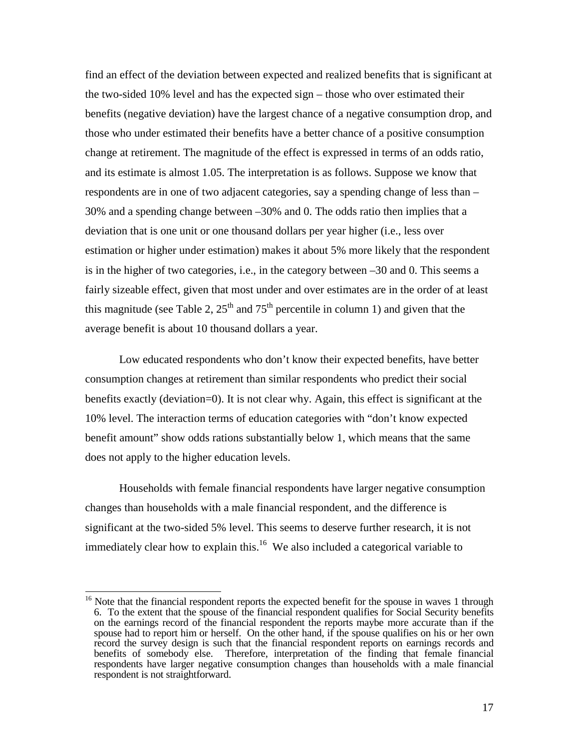find an effect of the deviation between expected and realized benefits that is significant at the two-sided 10% level and has the expected sign – those who over estimated their benefits (negative deviation) have the largest chance of a negative consumption drop, and those who under estimated their benefits have a better chance of a positive consumption change at retirement. The magnitude of the effect is expressed in terms of an odds ratio, and its estimate is almost 1.05. The interpretation is as follows. Suppose we know that respondents are in one of two adjacent categories, say a spending change of less than – 30% and a spending change between –30% and 0. The odds ratio then implies that a deviation that is one unit or one thousand dollars per year higher (i.e., less over estimation or higher under estimation) makes it about 5% more likely that the respondent is in the higher of two categories, i.e., in the category between –30 and 0. This seems a fairly sizeable effect, given that most under and over estimates are in the order of at least this magnitude (see Table 2,  $25<sup>th</sup>$  and  $75<sup>th</sup>$  percentile in column 1) and given that the average benefit is about 10 thousand dollars a year.

Low educated respondents who don't know their expected benefits, have better consumption changes at retirement than similar respondents who predict their social benefits exactly (deviation=0). It is not clear why. Again, this effect is significant at the 10% level. The interaction terms of education categories with "don't know expected benefit amount" show odds rations substantially below 1, which means that the same does not apply to the higher education levels.

Households with female financial respondents have larger negative consumption changes than households with a male financial respondent, and the difference is significant at the two-sided 5% level. This seems to deserve further research, it is not immediately clear how to explain this.<sup>16</sup> We also included a categorical variable to

 $\overline{1}$ 

<sup>&</sup>lt;sup>16</sup> Note that the financial respondent reports the expected benefit for the spouse in waves 1 through 6. To the extent that the spouse of the financial respondent qualifies for Social Security benefits on the earnings record of the financial respondent the reports maybe more accurate than if the spouse had to report him or herself. On the other hand, if the spouse qualifies on his or her own record the survey design is such that the financial respondent reports on earnings records and benefits of somebody else. Therefore, interpretation of the finding that female financial respondents have larger negative consumption changes than households with a male financial respondent is not straightforward.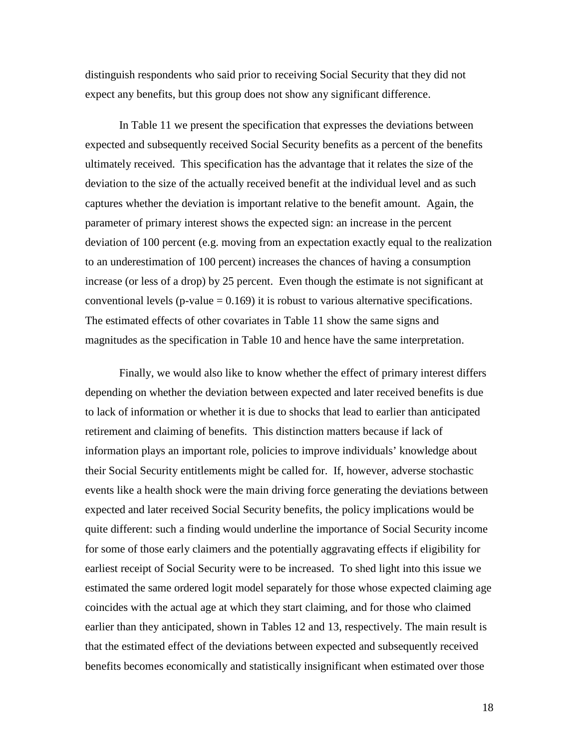distinguish respondents who said prior to receiving Social Security that they did not expect any benefits, but this group does not show any significant difference.

In Table 11 we present the specification that expresses the deviations between expected and subsequently received Social Security benefits as a percent of the benefits ultimately received. This specification has the advantage that it relates the size of the deviation to the size of the actually received benefit at the individual level and as such captures whether the deviation is important relative to the benefit amount. Again, the parameter of primary interest shows the expected sign: an increase in the percent deviation of 100 percent (e.g. moving from an expectation exactly equal to the realization to an underestimation of 100 percent) increases the chances of having a consumption increase (or less of a drop) by 25 percent. Even though the estimate is not significant at conventional levels ( $p$ -value = 0.169) it is robust to various alternative specifications. The estimated effects of other covariates in Table 11 show the same signs and magnitudes as the specification in Table 10 and hence have the same interpretation.

Finally, we would also like to know whether the effect of primary interest differs depending on whether the deviation between expected and later received benefits is due to lack of information or whether it is due to shocks that lead to earlier than anticipated retirement and claiming of benefits. This distinction matters because if lack of information plays an important role, policies to improve individuals' knowledge about their Social Security entitlements might be called for. If, however, adverse stochastic events like a health shock were the main driving force generating the deviations between expected and later received Social Security benefits, the policy implications would be quite different: such a finding would underline the importance of Social Security income for some of those early claimers and the potentially aggravating effects if eligibility for earliest receipt of Social Security were to be increased. To shed light into this issue we estimated the same ordered logit model separately for those whose expected claiming age coincides with the actual age at which they start claiming, and for those who claimed earlier than they anticipated, shown in Tables 12 and 13, respectively. The main result is that the estimated effect of the deviations between expected and subsequently received benefits becomes economically and statistically insignificant when estimated over those

18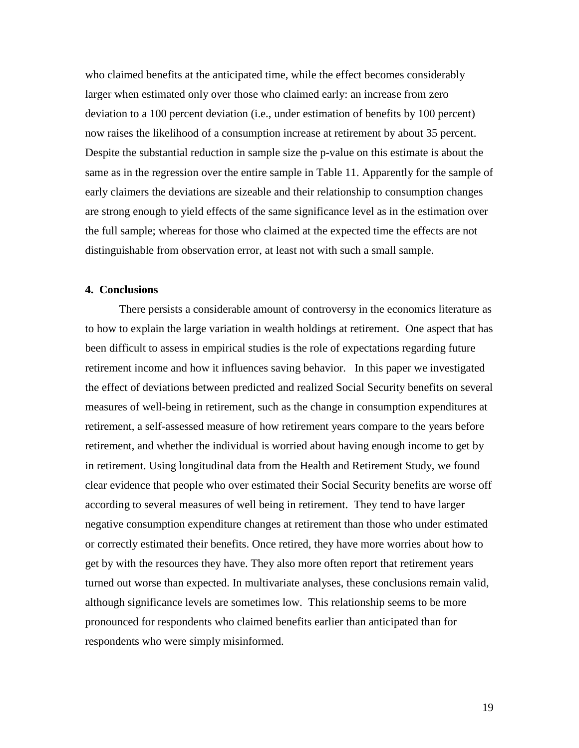who claimed benefits at the anticipated time, while the effect becomes considerably larger when estimated only over those who claimed early: an increase from zero deviation to a 100 percent deviation (i.e., under estimation of benefits by 100 percent) now raises the likelihood of a consumption increase at retirement by about 35 percent. Despite the substantial reduction in sample size the p-value on this estimate is about the same as in the regression over the entire sample in Table 11. Apparently for the sample of early claimers the deviations are sizeable and their relationship to consumption changes are strong enough to yield effects of the same significance level as in the estimation over the full sample; whereas for those who claimed at the expected time the effects are not distinguishable from observation error, at least not with such a small sample.

#### **4. Conclusions**

There persists a considerable amount of controversy in the economics literature as to how to explain the large variation in wealth holdings at retirement. One aspect that has been difficult to assess in empirical studies is the role of expectations regarding future retirement income and how it influences saving behavior. In this paper we investigated the effect of deviations between predicted and realized Social Security benefits on several measures of well-being in retirement, such as the change in consumption expenditures at retirement, a self-assessed measure of how retirement years compare to the years before retirement, and whether the individual is worried about having enough income to get by in retirement. Using longitudinal data from the Health and Retirement Study, we found clear evidence that people who over estimated their Social Security benefits are worse off according to several measures of well being in retirement. They tend to have larger negative consumption expenditure changes at retirement than those who under estimated or correctly estimated their benefits. Once retired, they have more worries about how to get by with the resources they have. They also more often report that retirement years turned out worse than expected. In multivariate analyses, these conclusions remain valid, although significance levels are sometimes low. This relationship seems to be more pronounced for respondents who claimed benefits earlier than anticipated than for respondents who were simply misinformed.

19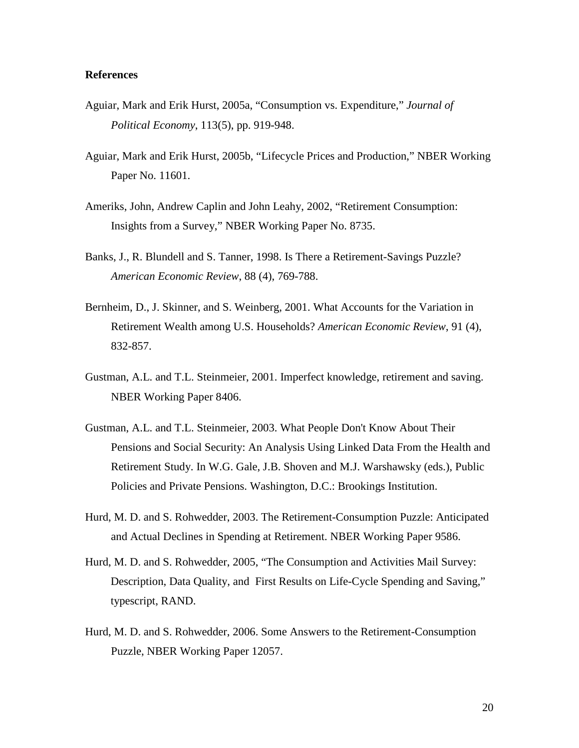## **References**

- Aguiar, Mark and Erik Hurst, 2005a, "Consumption vs. Expenditure," *Journal of Political Economy*, 113(5), pp. 919-948.
- Aguiar, Mark and Erik Hurst, 2005b, "Lifecycle Prices and Production," NBER Working Paper No. 11601.
- Ameriks, John, Andrew Caplin and John Leahy, 2002, "Retirement Consumption: Insights from a Survey," NBER Working Paper No. 8735.
- Banks, J., R. Blundell and S. Tanner, 1998. Is There a Retirement-Savings Puzzle? *American Economic Review*, 88 (4), 769-788.
- Bernheim, D., J. Skinner, and S. Weinberg, 2001. What Accounts for the Variation in Retirement Wealth among U.S. Households? *American Economic Review*, 91 (4), 832-857.
- Gustman, A.L. and T.L. Steinmeier, 2001. Imperfect knowledge, retirement and saving. NBER Working Paper 8406.
- Gustman, A.L. and T.L. Steinmeier, 2003. What People Don't Know About Their Pensions and Social Security: An Analysis Using Linked Data From the Health and Retirement Study. In W.G. Gale, J.B. Shoven and M.J. Warshawsky (eds.), Public Policies and Private Pensions. Washington, D.C.: Brookings Institution.
- Hurd, M. D. and S. Rohwedder, 2003. The Retirement-Consumption Puzzle: Anticipated and Actual Declines in Spending at Retirement. NBER Working Paper 9586.
- Hurd, M. D. and S. Rohwedder, 2005, "The Consumption and Activities Mail Survey: Description, Data Quality, and First Results on Life-Cycle Spending and Saving," typescript, RAND.
- Hurd, M. D. and S. Rohwedder, 2006. Some Answers to the Retirement-Consumption Puzzle, NBER Working Paper 12057.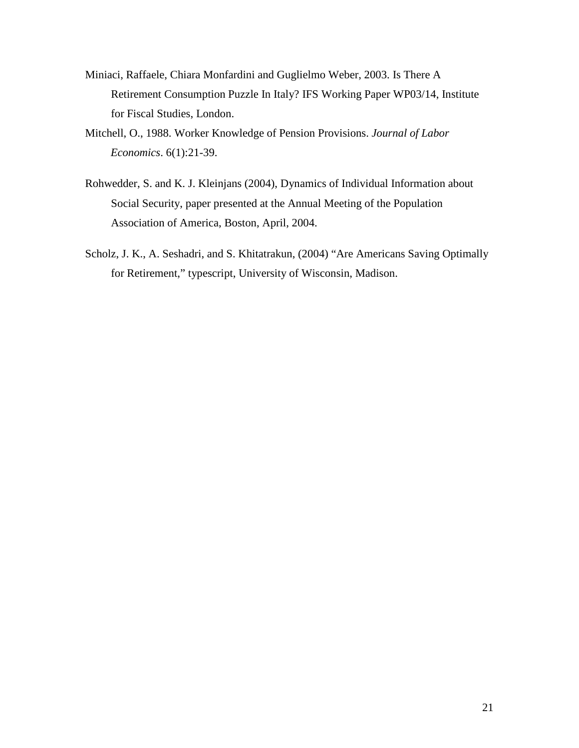- Miniaci, Raffaele, Chiara Monfardini and Guglielmo Weber, 2003. Is There A Retirement Consumption Puzzle In Italy? IFS Working Paper WP03/14, Institute for Fiscal Studies, London.
- Mitchell, O., 1988. Worker Knowledge of Pension Provisions. *Journal of Labor Economics*. 6(1):21-39.
- Rohwedder, S. and K. J. Kleinjans (2004), Dynamics of Individual Information about Social Security, paper presented at the Annual Meeting of the Population Association of America, Boston, April, 2004.
- Scholz, J. K., A. Seshadri, and S. Khitatrakun, (2004) "Are Americans Saving Optimally for Retirement," typescript, University of Wisconsin, Madison.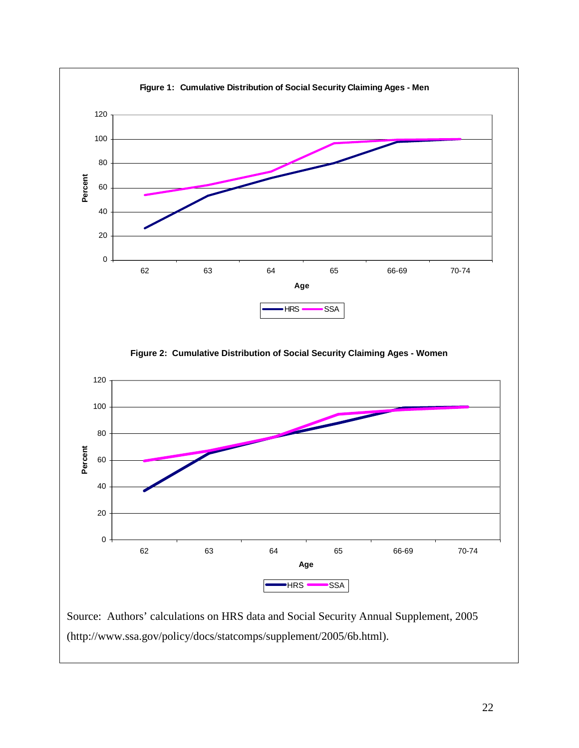

(http://www.ssa.gov/policy/docs/statcomps/supplement/2005/6b.html).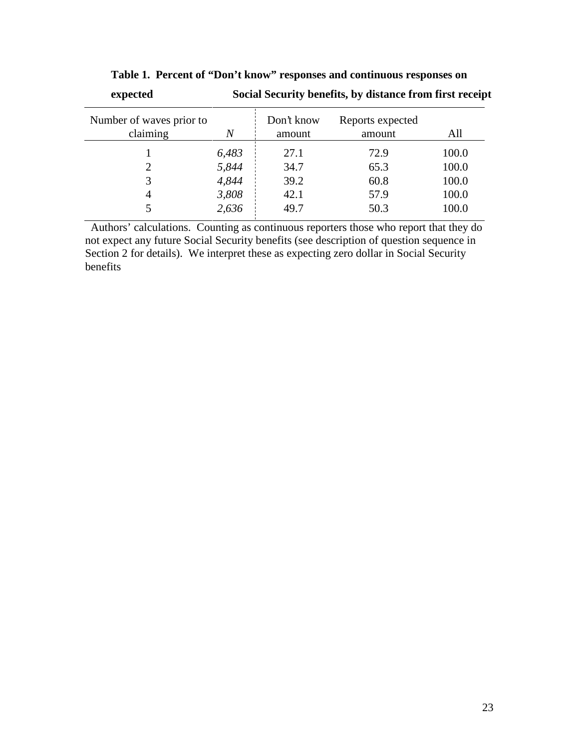| <u>enpecteu</u>                      |       | bocha became, benefits, by abance if one more receip |                            |       |
|--------------------------------------|-------|------------------------------------------------------|----------------------------|-------|
| Number of waves prior to<br>claiming | N     | Don't know<br>amount                                 | Reports expected<br>amount | All   |
|                                      | 6,483 | 27.1                                                 | 72.9                       | 100.0 |
| 2                                    | 5,844 | 34.7                                                 | 65.3                       | 100.0 |
|                                      | 4,844 | 39.2                                                 | 60.8                       | 100.0 |
| 4                                    | 3,808 | 42.1                                                 | 57.9                       | 100.0 |
|                                      | 2,636 | 49.7                                                 | 50.3                       | 100.0 |
|                                      |       |                                                      |                            |       |

**Table 1. Percent of "Don't know" responses and continuous responses on expected Social Security benefits, by distance from first receipt**

Authors' calculations. Counting as continuous reporters those who report that they do not expect any future Social Security benefits (see description of question sequence in Section 2 for details). We interpret these as expecting zero dollar in Social Security benefits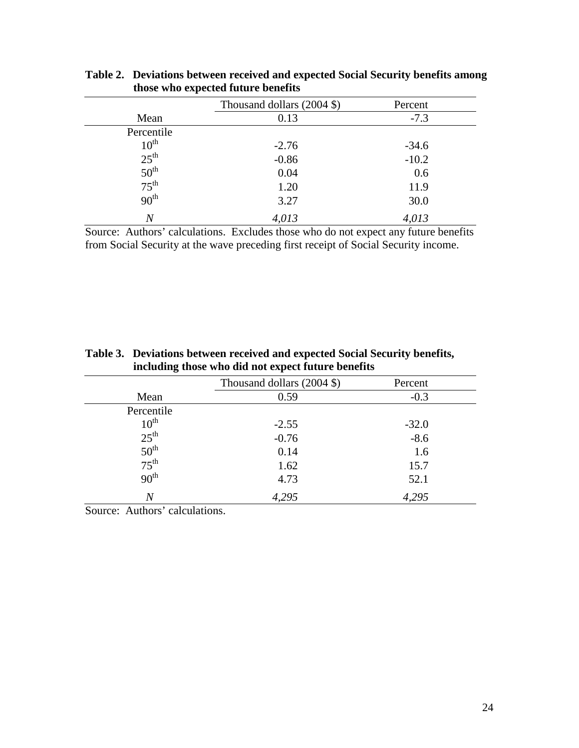|                                      | Thousand dollars $(2004 \text{ } \text{\textsterling})$ | Percent |
|--------------------------------------|---------------------------------------------------------|---------|
| Mean                                 | 0.13                                                    | $-7.3$  |
| Percentile                           |                                                         |         |
| $10^{\text{th}}$                     | $-2.76$                                                 | $-34.6$ |
| $25^{\text{th}}$                     | $-0.86$                                                 | $-10.2$ |
| $50^{\text{th}}$<br>75 <sup>th</sup> | 0.04                                                    | 0.6     |
|                                      | 1.20                                                    | 11.9    |
| 90 <sup>th</sup>                     | 3.27                                                    | 30.0    |
| Ν                                    | 4,013                                                   | 4,013   |

**Table 2. Deviations between received and expected Social Security benefits among those who expected future benefits**

Source: Authors' calculations. Excludes those who do not expect any future benefits from Social Security at the wave preceding first receipt of Social Security income.

|                  | mergang most who are not expect fature benefits |         |  |
|------------------|-------------------------------------------------|---------|--|
|                  | Thousand dollars (2004 \$)                      | Percent |  |
| Mean             | 0.59                                            | $-0.3$  |  |
| Percentile       |                                                 |         |  |
| $10^{\text{th}}$ | $-2.55$                                         | $-32.0$ |  |
| $25^{\text{th}}$ | $-0.76$                                         | $-8.6$  |  |
| $50^{\text{th}}$ | 0.14                                            | 1.6     |  |
| $75^{\text{th}}$ | 1.62                                            | 15.7    |  |
| 90 <sup>th</sup> | 4.73                                            | 52.1    |  |
| Ν                | 4,295                                           | 4,295   |  |

**Table 3. Deviations between received and expected Social Security benefits, including those who did not expect future benefits**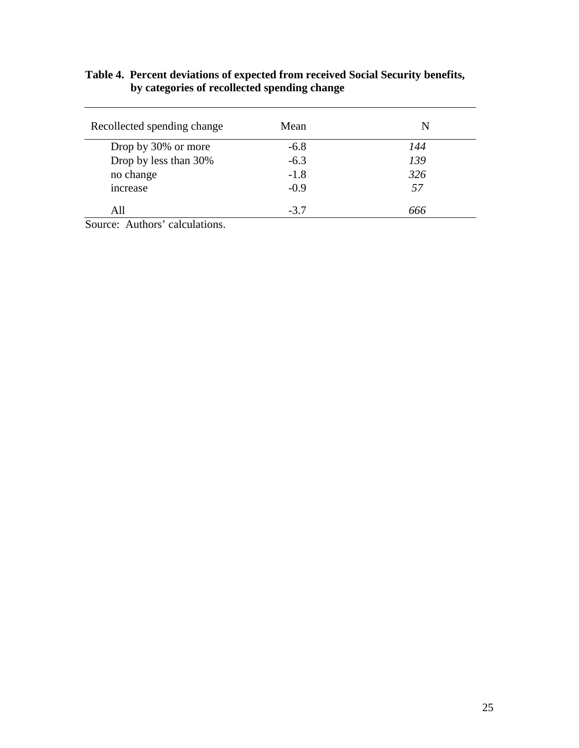## **Table 4. Percent deviations of expected from received Social Security benefits, by categories of recollected spending change**

| Recollected spending change | Mean   | N   |
|-----------------------------|--------|-----|
| Drop by 30% or more         | $-6.8$ | 144 |
| Drop by less than 30%       | $-6.3$ | 139 |
| no change                   | $-1.8$ | 326 |
| increase                    | $-0.9$ | 57  |
| All                         | $-3.7$ | 666 |
| .                           |        |     |

Source: Authors' calculations.

 $\overline{\phantom{a}}$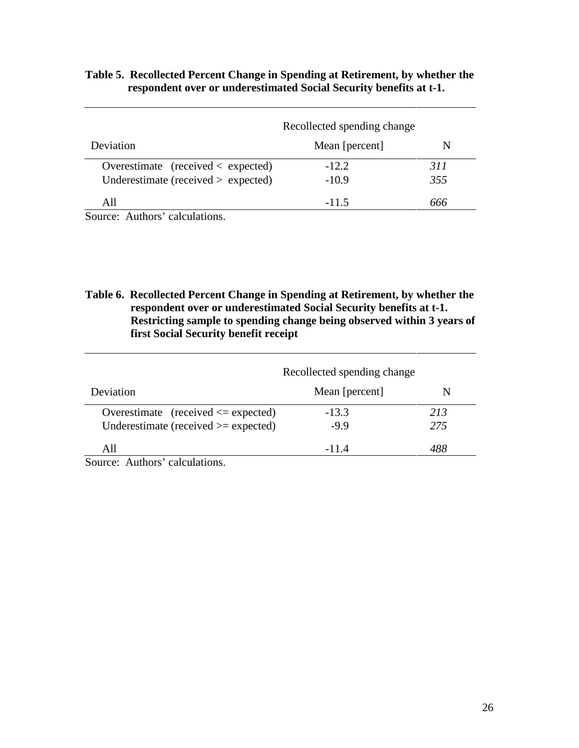|                                            | Recollected spending change |     |
|--------------------------------------------|-----------------------------|-----|
| Deviation                                  | Mean [percent]              | N   |
| Overestimate (received $\langle$ expected) | $-12.2$                     | 311 |
| Underestimate (received $>$ expected)      | $-10.9$                     | 355 |
| A 11                                       | -11.5                       | んんん |

# **Table 5. Recollected Percent Change in Spending at Retirement, by whether the respondent over or underestimated Social Security benefits at t-1.**

Source: Authors' calculations.

**Table 6. Recollected Percent Change in Spending at Retirement, by whether the respondent over or underestimated Social Security benefits at t-1. Restricting sample to spending change being observed within 3 years of first Social Security benefit receipt**

|                                                                                                            | Recollected spending change |     |
|------------------------------------------------------------------------------------------------------------|-----------------------------|-----|
| Deviation                                                                                                  | Mean [percent]              | N   |
| Overestimate (received $\leq$ expected)                                                                    | $-13.3$                     | 213 |
| Underestimate (received $>=$ expected)                                                                     | $-9.9$                      | 275 |
| All                                                                                                        | $-11.4$                     | 488 |
| $\mathcal{C}_{\text{average}}$ $\Lambda$ with $\mathcal{C}_{\text{mean}}$ and $\mathcal{C}_{\text{total}}$ |                             |     |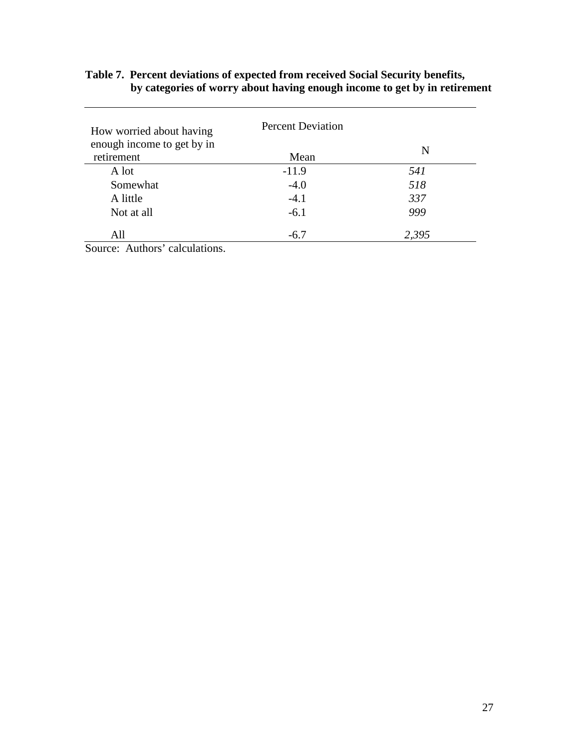## **Table 7. Percent deviations of expected from received Social Security benefits, by categories of worry about having enough income to get by in retirement**

| How worried about having   | <b>Percent Deviation</b> |       |
|----------------------------|--------------------------|-------|
| enough income to get by in |                          | N     |
| retirement                 | Mean                     |       |
| A lot                      | $-11.9$                  | 541   |
| Somewhat                   | $-4.0$                   | 518   |
| A little                   | $-4.1$                   | 337   |
| Not at all                 | $-6.1$                   | 999   |
| All                        | $-6.7$                   | 2,395 |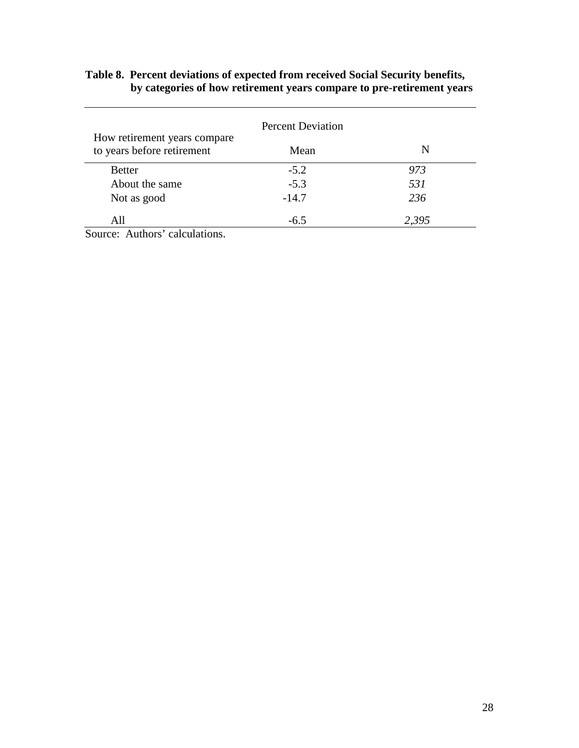## **Table 8. Percent deviations of expected from received Social Security benefits, by categories of how retirement years compare to pre-retirement years**

|                                                            | <b>Percent Deviation</b> |       |
|------------------------------------------------------------|--------------------------|-------|
| How retirement years compare<br>to years before retirement | Mean                     | N     |
| <b>Better</b>                                              | $-5.2$                   | 973   |
| About the same                                             | $-5.3$                   | 531   |
| Not as good                                                | $-14.7$                  | 236   |
| All                                                        | $-6.5$                   | 2,395 |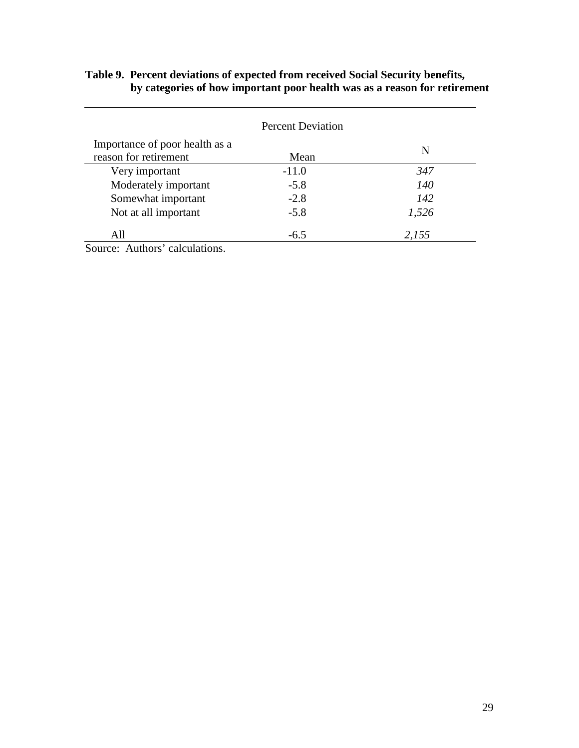# **Table 9. Percent deviations of expected from received Social Security benefits, by categories of how important poor health was as a reason for retirement**

<u> 1989 - Johann Stoff, fransk politik (</u>

|                                                         | <b>Percent Deviation</b> |       |
|---------------------------------------------------------|--------------------------|-------|
| Importance of poor health as a<br>reason for retirement | Mean                     | N     |
| Very important                                          | $-11.0$                  | 347   |
| Moderately important                                    | $-5.8$                   | 140   |
| Somewhat important                                      | $-2.8$                   | 142   |
| Not at all important                                    | $-5.8$                   | 1,526 |
| All                                                     | $-6.5$                   | 2,155 |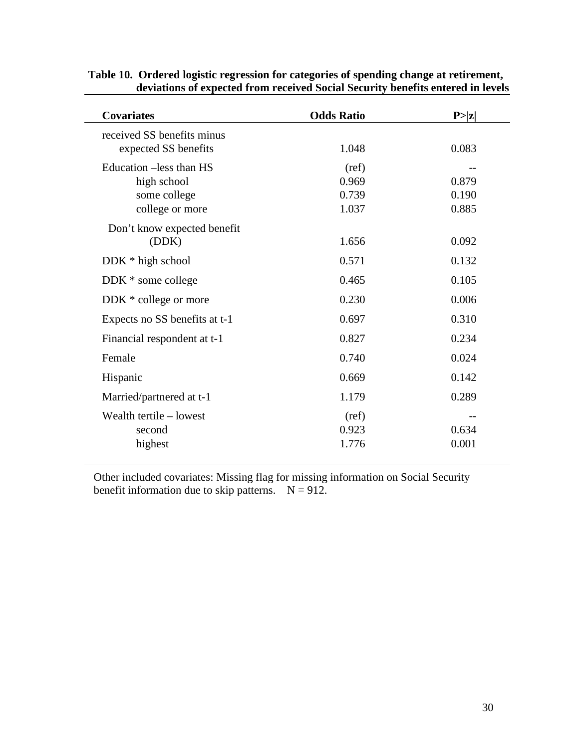| <b>Covariates</b>             | <b>Odds Ratio</b> | P >  z |
|-------------------------------|-------------------|--------|
| received SS benefits minus    |                   |        |
| expected SS benefits          | 1.048             | 0.083  |
| Education -less than HS       | (ref)             |        |
| high school                   | 0.969             | 0.879  |
| some college                  | 0.739             | 0.190  |
| college or more               | 1.037             | 0.885  |
| Don't know expected benefit   |                   |        |
| (DDK)                         | 1.656             | 0.092  |
| DDK * high school             | 0.571             | 0.132  |
| DDK * some college            | 0.465             | 0.105  |
| DDK * college or more         | 0.230             | 0.006  |
| Expects no SS benefits at t-1 | 0.697             | 0.310  |
| Financial respondent at t-1   | 0.827             | 0.234  |
| Female                        | 0.740             | 0.024  |
| Hispanic                      | 0.669             | 0.142  |
| Married/partnered at t-1      | 1.179             | 0.289  |
| Wealth tertile – lowest       | (ref)             |        |
| second                        | 0.923             | 0.634  |
| highest                       | 1.776             | 0.001  |

# **Table 10. Ordered logistic regression for categories of spending change at retirement, deviations of expected from received Social Security benefits entered in levels**

Other included covariates: Missing flag for missing information on Social Security benefit information due to skip patterns.  $N = 912$ .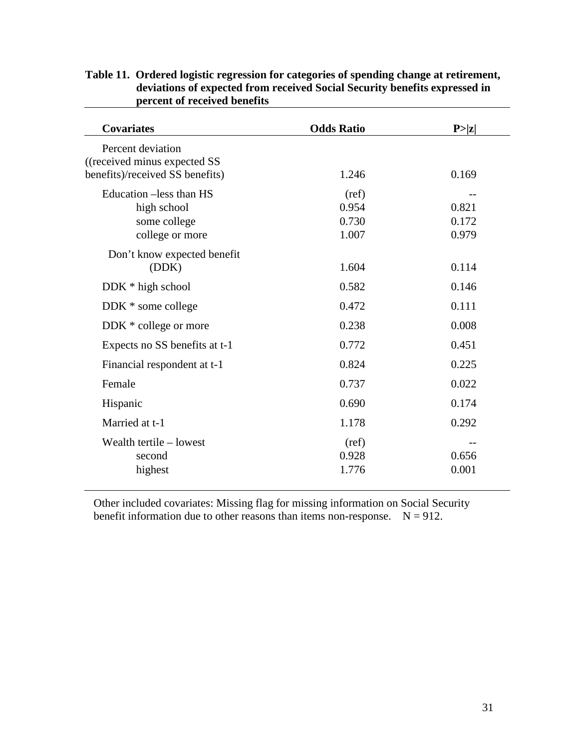| <b>Covariates</b>                                                                     | <b>Odds Ratio</b> | P >  z |
|---------------------------------------------------------------------------------------|-------------------|--------|
| Percent deviation<br>((received minus expected SS)<br>benefits)/received SS benefits) | 1.246             | 0.169  |
|                                                                                       |                   |        |
| Education –less than HS                                                               | (ref)             |        |
| high school                                                                           | 0.954             | 0.821  |
| some college                                                                          | 0.730             | 0.172  |
| college or more                                                                       | 1.007             | 0.979  |
| Don't know expected benefit                                                           |                   |        |
| (DDK)                                                                                 | 1.604             | 0.114  |
| $DDK * high school$                                                                   | 0.582             | 0.146  |
| DDK * some college                                                                    | 0.472             | 0.111  |
| DDK * college or more                                                                 | 0.238             | 0.008  |
| Expects no SS benefits at t-1                                                         | 0.772             | 0.451  |
| Financial respondent at t-1                                                           | 0.824             | 0.225  |
| Female                                                                                | 0.737             | 0.022  |
| Hispanic                                                                              | 0.690             | 0.174  |
| Married at t-1                                                                        | 1.178             | 0.292  |
| Wealth tertile - lowest                                                               | (ref)             |        |
| second                                                                                | 0.928             | 0.656  |
| highest                                                                               | 1.776             | 0.001  |

# **Table 11. Ordered logistic regression for categories of spending change at retirement, deviations of expected from received Social Security benefits expressed in percent of received benefits**

Other included covariates: Missing flag for missing information on Social Security benefit information due to other reasons than items non-response.  $N = 912$ .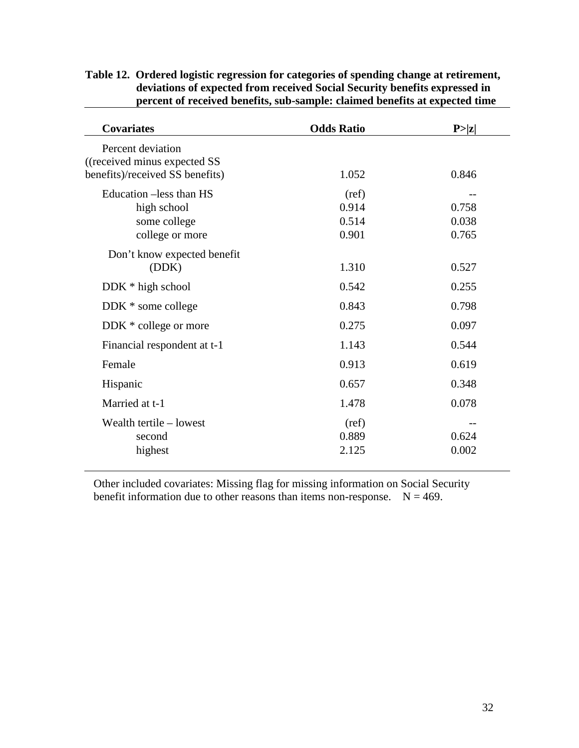| <b>Covariates</b>                                                                    | <b>Odds Ratio</b>                | P >  z                  |
|--------------------------------------------------------------------------------------|----------------------------------|-------------------------|
| Percent deviation<br>((received minus expected SS<br>benefits)/received SS benefits) | 1.052                            | 0.846                   |
| Education –less than HS<br>high school<br>some college<br>college or more            | (ref)<br>0.914<br>0.514<br>0.901 | 0.758<br>0.038<br>0.765 |
| Don't know expected benefit<br>(DDK)                                                 | 1.310                            | 0.527                   |
| DDK * high school                                                                    | 0.542                            | 0.255                   |
| DDK * some college                                                                   | 0.843                            | 0.798                   |
| DDK * college or more                                                                | 0.275                            | 0.097                   |
| Financial respondent at t-1                                                          | 1.143                            | 0.544                   |
| Female                                                                               | 0.913                            | 0.619                   |
| Hispanic                                                                             | 0.657                            | 0.348                   |
| Married at t-1                                                                       | 1.478                            | 0.078                   |
| Wealth tertile - lowest<br>second<br>highest                                         | (ref)<br>0.889<br>2.125          | 0.624<br>0.002          |

**Table 12. Ordered logistic regression for categories of spending change at retirement, deviations of expected from received Social Security benefits expressed in percent of received benefits, sub-sample: claimed benefits at expected time**

Other included covariates: Missing flag for missing information on Social Security benefit information due to other reasons than items non-response.  $N = 469$ .